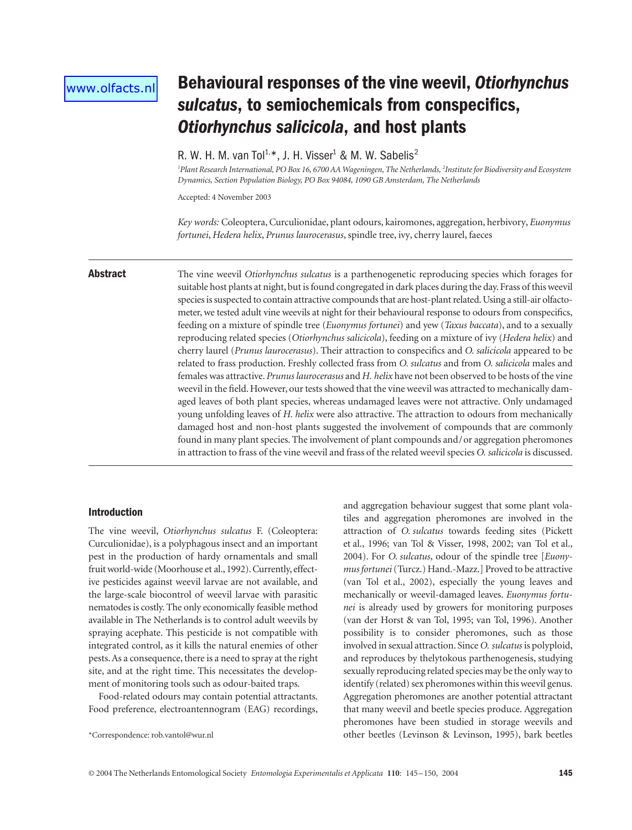## www.olfacts.nl

# Behavioural responses of the vine weevil, *Otiorhynchus sulcatus*, to semiochemicals from conspecifics, *Otiorhynchus salicicola*, and host plants

R. W. H. M. van Tol $1, *$ , J. H. Visser $1 \& M$ . W. Sabelis $^2$ 

*1 Plant Research International, PO Box 16, 6700 AA Wageningen, The Netherlands, 2 Institute for Biodiversity and Ecosystem Dynamics, Section Population Biology, PO Box 94084, 1090 GB Amsterdam, The Netherlands* 

Accepted: 4 November 2003

*Key words:* Coleoptera, Curculionidae, plant odours, kairomones, aggregation, herbivory, *Euonymus fortunei*, *Hedera helix*, *Prunus laurocerasus*, spindle tree, ivy, cherry laurel, faeces

Abstract The vine weevil *Otiorhynchus sulcatus* is a parthenogenetic reproducing species which forages for suitable host plants at night, but is found congregated in dark places during the day. Frass of this weevil species is suspected to contain attractive compounds that are host-plant related. Using a still-air olfactometer, we tested adult vine weevils at night for their behavioural response to odours from conspecifics, feeding on a mixture of spindle tree (*Euonymus fortunei*) and yew (*Taxus baccata*), and to a sexually reproducing related species (*Otiorhynchus salicicola*), feeding on a mixture of ivy (*Hedera helix*) and cherry laurel (*Prunus laurocerasus*). Their attraction to conspecifics and *O. salicicola* appeared to be related to frass production. Freshly collected frass from *O. sulcatus* and from *O. salicicola* males and females was attractive. *Prunus laurocerasus* and *H. helix* have not been observed to be hosts of the vine weevil in the field. However, our tests showed that the vine weevil was attracted to mechanically damaged leaves of both plant species, whereas undamaged leaves were not attractive. Only undamaged young unfolding leaves of *H. helix* were also attractive. The attraction to odours from mechanically damaged host and non-host plants suggested the involvement of compounds that are commonly found in many plant species. The involvement of plant compounds and/or aggregation pheromones in attraction to frass of the vine weevil and frass of the related weevil species *O. salicicola* is discussed.

#### Introduction

The vine weevil, *Otiorhynchus sulcatus* F. (Coleoptera: Curculionidae), is a polyphagous insect and an important pest in the production of hardy ornamentals and small fruit world-wide (Moorhouse et al., 1992). Currently, effective pesticides against weevil larvae are not available, and the large-scale biocontrol of weevil larvae with parasitic nematodes is costly. The only economically feasible method available in The Netherlands is to control adult weevils by spraying acephate. This pesticide is not compatible with integrated control, as it kills the natural enemies of other pests. As a consequence, there is a need to spray at the right site, and at the right time. This necessitates the development of monitoring tools such as odour-baited traps.

Food-related odours may contain potential attractants. Food preference, electroantennogram (EAG) recordings,

and aggregation behaviour suggest that some plant volatiles and aggregation pheromones are involved in the attraction of *O. sulcatus* towards feeding sites (Pickett et al., 1996; van Tol & Visser, 1998, 2002; van Tol et al., 2004). For *O. sulcatus*, odour of the spindle tree [*Euonymus fortunei*(Turcz.) Hand.-Mazz.] Proved to be attractive (van Tol et al., 2002), especially the young leaves and mechanically or weevil-damaged leaves. *Euonymus fortunei* is already used by growers for monitoring purposes (van der Horst & van Tol, 1995; van Tol, 1996). Another possibility is to consider pheromones, such as those involved in sexual attraction. Since *O. sulcatus* is polyploid, and reproduces by thelytokous parthenogenesis, studying sexually reproducing related species may be the only way to identify (related) sex pheromones within this weevil genus. Aggregation pheromones are another potential attractant that many weevil and beetle species produce. Aggregation pheromones have been studied in storage weevils and \*Correspondence: rob.vantol@wur.nl other beetles (Levinson & Levinson, 1995), bark beetles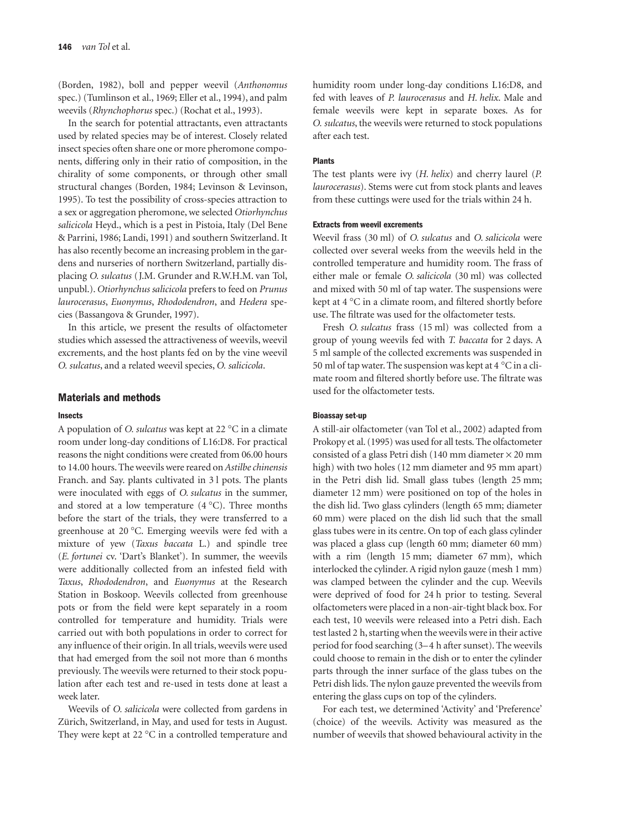(Borden, 1982), boll and pepper weevil (*Anthonomus* spec.) (Tumlinson et al., 1969; Eller et al., 1994), and palm weevils (*Rhynchophorus* spec.) (Rochat et al., 1993).

In the search for potential attractants, even attractants used by related species may be of interest. Closely related insect species often share one or more pheromone components, differing only in their ratio of composition, in the chirality of some components, or through other small structural changes (Borden, 1984; Levinson & Levinson, 1995). To test the possibility of cross-species attraction to a sex or aggregation pheromone, we selected *Otiorhynchus salicicola* Heyd., which is a pest in Pistoia, Italy (Del Bene & Parrini, 1986; Landi, 1991) and southern Switzerland. It has also recently become an increasing problem in the gardens and nurseries of northern Switzerland, partially displacing *O. sulcatus* (J.M. Grunder and R.W.H.M. van Tol, unpubl.). *Otiorhynchus salicicola* prefers to feed on *Prunus laurocerasus*, *Euonymus*, *Rhododendron*, and *Hedera* species (Bassangova & Grunder, 1997).

In this article, we present the results of olfactometer studies which assessed the attractiveness of weevils, weevil excrements, and the host plants fed on by the vine weevil *O. sulcatus*, and a related weevil species, *O. salicicola*.

#### Materials and methods

#### Insects

A population of *O. sulcatus* was kept at 22 °C in a climate room under long-day conditions of L16:D8. For practical reasons the night conditions were created from 06.00 hours to 14.00 hours. The weevils were reared on *Astilbe chinensis* Franch. and Say. plants cultivated in 3 l pots. The plants were inoculated with eggs of *O. sulcatus* in the summer, and stored at a low temperature  $(4 °C)$ . Three months before the start of the trials, they were transferred to a greenhouse at 20 °C. Emerging weevils were fed with a mixture of yew (*Taxus baccata* L.) and spindle tree (*E. fortunei* cv. 'Dart's Blanket'). In summer, the weevils were additionally collected from an infested field with *Taxus*, *Rhododendron*, and *Euonymus* at the Research Station in Boskoop. Weevils collected from greenhouse pots or from the field were kept separately in a room controlled for temperature and humidity. Trials were carried out with both populations in order to correct for any influence of their origin. In all trials, weevils were used that had emerged from the soil not more than 6 months previously. The weevils were returned to their stock population after each test and re-used in tests done at least a week later.

Weevils of *O. salicicola* were collected from gardens in Zürich, Switzerland, in May, and used for tests in August. They were kept at 22 °C in a controlled temperature and

humidity room under long-day conditions L16:D8, and fed with leaves of *P. laurocerasus* and *H. helix*. Male and female weevils were kept in separate boxes. As for *O. sulcatus*, the weevils were returned to stock populations after each test.

#### Plants

The test plants were ivy (*H. helix*) and cherry laurel (*P. laurocerasus*). Stems were cut from stock plants and leaves from these cuttings were used for the trials within 24 h.

#### Extracts from weevil excrements

Weevil frass (30 ml) of *O. sulcatus* and *O. salicicola* were collected over several weeks from the weevils held in the controlled temperature and humidity room. The frass of either male or female *O. salicicola* (30 ml) was collected and mixed with 50 ml of tap water. The suspensions were kept at 4 °C in a climate room, and filtered shortly before use. The filtrate was used for the olfactometer tests.

Fresh *O. sulcatus* frass (15 ml) was collected from a group of young weevils fed with *T. baccata* for 2 days. A 5 ml sample of the collected excrements was suspended in 50 ml of tap water. The suspension was kept at 4 °C in a climate room and filtered shortly before use. The filtrate was used for the olfactometer tests.

#### Bioassay set-up

A still-air olfactometer (van Tol et al., 2002) adapted from Prokopy et al. (1995) was used for all tests. The olfactometer consisted of a glass Petri dish (140 mm diameter  $\times$  20 mm high) with two holes (12 mm diameter and 95 mm apart) in the Petri dish lid. Small glass tubes (length 25 mm; diameter 12 mm) were positioned on top of the holes in the dish lid. Two glass cylinders (length 65 mm; diameter 60 mm) were placed on the dish lid such that the small glass tubes were in its centre. On top of each glass cylinder was placed a glass cup (length 60 mm; diameter 60 mm) with a rim (length 15 mm; diameter 67 mm), which interlocked the cylinder. A rigid nylon gauze (mesh 1 mm) was clamped between the cylinder and the cup. Weevils were deprived of food for 24 h prior to testing. Several olfactometers were placed in a non-air-tight black box. For each test, 10 weevils were released into a Petri dish. Each test lasted 2 h, starting when the weevils were in their active period for food searching (3–4 h after sunset). The weevils could choose to remain in the dish or to enter the cylinder parts through the inner surface of the glass tubes on the Petri dish lids. The nylon gauze prevented the weevils from entering the glass cups on top of the cylinders.

For each test, we determined 'Activity' and 'Preference' (choice) of the weevils. Activity was measured as the number of weevils that showed behavioural activity in the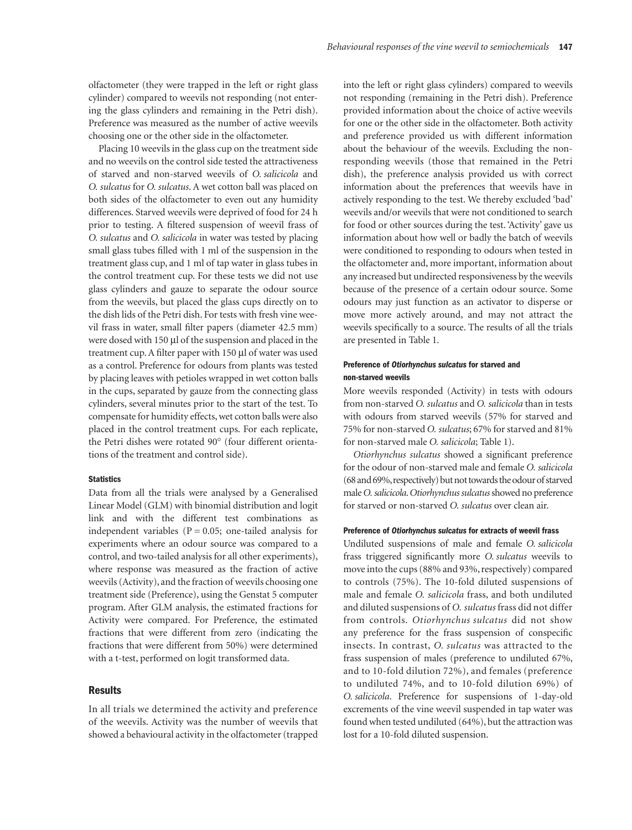olfactometer (they were trapped in the left or right glass cylinder) compared to weevils not responding (not entering the glass cylinders and remaining in the Petri dish). Preference was measured as the number of active weevils choosing one or the other side in the olfactometer.

Placing 10 weevils in the glass cup on the treatment side and no weevils on the control side tested the attractiveness of starved and non-starved weevils of *O. salicicola* and *O. sulcatus* for *O. sulcatus*. A wet cotton ball was placed on both sides of the olfactometer to even out any humidity differences. Starved weevils were deprived of food for 24 h prior to testing. A filtered suspension of weevil frass of *O. sulcatus* and *O. salicicola* in water was tested by placing small glass tubes filled with 1 ml of the suspension in the treatment glass cup, and 1 ml of tap water in glass tubes in the control treatment cup. For these tests we did not use glass cylinders and gauze to separate the odour source from the weevils, but placed the glass cups directly on to the dish lids of the Petri dish. For tests with fresh vine weevil frass in water, small filter papers (diameter 42.5 mm) were dosed with 150 µl of the suspension and placed in the treatment cup. A filter paper with 150 µl of water was used as a control. Preference for odours from plants was tested by placing leaves with petioles wrapped in wet cotton balls in the cups, separated by gauze from the connecting glass cylinders, several minutes prior to the start of the test. To compensate for humidity effects, wet cotton balls were also placed in the control treatment cups. For each replicate, the Petri dishes were rotated 90° (four different orientations of the treatment and control side).

#### **Statistics**

Data from all the trials were analysed by a Generalised Linear Model (GLM) with binomial distribution and logit link and with the different test combinations as independent variables ( $P = 0.05$ ; one-tailed analysis for experiments where an odour source was compared to a control, and two-tailed analysis for all other experiments), where response was measured as the fraction of active weevils (Activity), and the fraction of weevils choosing one treatment side (Preference), using the Genstat 5 computer program. After GLM analysis, the estimated fractions for Activity were compared. For Preference, the estimated fractions that were different from zero (indicating the fractions that were different from 50%) were determined with a t-test, performed on logit transformed data.

### **Results**

In all trials we determined the activity and preference of the weevils. Activity was the number of weevils that showed a behavioural activity in the olfactometer (trapped

into the left or right glass cylinders) compared to weevils not responding (remaining in the Petri dish). Preference provided information about the choice of active weevils for one or the other side in the olfactometer. Both activity and preference provided us with different information about the behaviour of the weevils. Excluding the nonresponding weevils (those that remained in the Petri dish), the preference analysis provided us with correct information about the preferences that weevils have in actively responding to the test. We thereby excluded 'bad' weevils and/or weevils that were not conditioned to search for food or other sources during the test. 'Activity' gave us information about how well or badly the batch of weevils were conditioned to responding to odours when tested in the olfactometer and, more important, information about any increased but undirected responsiveness by the weevils because of the presence of a certain odour source. Some odours may just function as an activator to disperse or move more actively around, and may not attract the weevils specifically to a source. The results of all the trials are presented in Table 1.

#### Preference of *Otiorhynchus sulcatus* for starved and non-starved weevils

More weevils responded (Activity) in tests with odours from non-starved *O. sulcatus* and *O. salicicola* than in tests with odours from starved weevils (57% for starved and 75% for non-starved *O. sulcatus*; 67% for starved and 81% for non-starved male *O. salicicola*; Table 1).

*Otiorhynchus sulcatus* showed a significant preference for the odour of non-starved male and female *O. salicicola* (68 and 69%, respectively) but not towards the odour of starved male *O. salicicola*. *Otiorhynchus sulcatus*showed no preference for starved or non-starved *O. sulcatus* over clean air.

#### Preference of *Otiorhynchus sulcatus* for extracts of weevil frass

Undiluted suspensions of male and female *O. salicicola* frass triggered significantly more *O. sulcatus* weevils to move into the cups (88% and 93%, respectively) compared to controls (75%). The 10-fold diluted suspensions of male and female *O. salicicola* frass, and both undiluted and diluted suspensions of *O. sulcatus* frass did not differ from controls. *Otiorhynchus sulcatus* did not show any preference for the frass suspension of conspecific insects. In contrast, *O. sulcatus* was attracted to the frass suspension of males (preference to undiluted 67%, and to 10-fold dilution 72%), and females (preference to undiluted 74%, and to 10-fold dilution 69%) of *O. salicicola*. Preference for suspensions of 1-day-old excrements of the vine weevil suspended in tap water was found when tested undiluted (64%), but the attraction was lost for a 10-fold diluted suspension.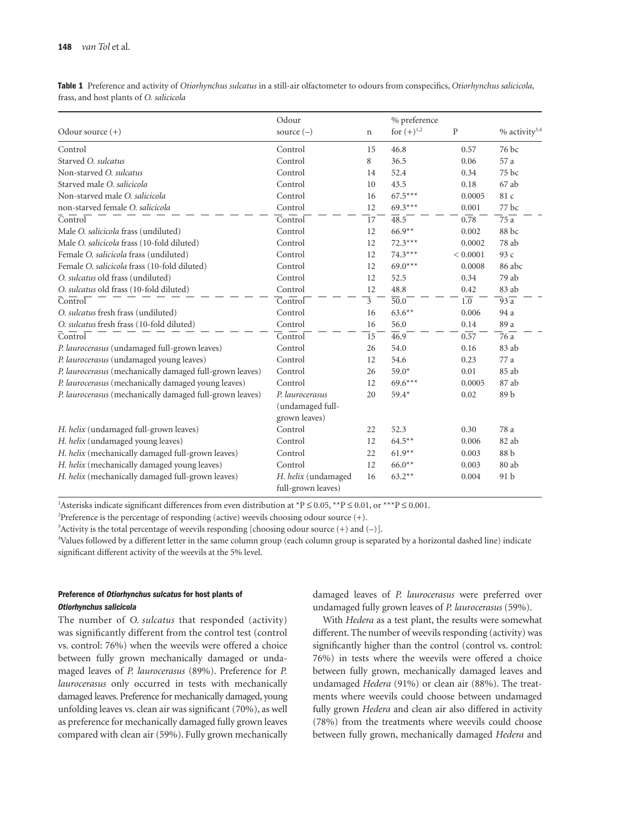|                                                          | Odour               |                 | % preference      |              |                             |
|----------------------------------------------------------|---------------------|-----------------|-------------------|--------------|-----------------------------|
| Odour source $(+)$                                       | source $(-)$        | $\mathbf n$     | for $(+)^{1,2}$   | $\, {\bf p}$ | $%$ activity <sup>3,4</sup> |
| Control                                                  | Control             | 15              | 46.8              | 0.57         | 76 bc                       |
| Starved O. sulcatus                                      | Control             | 8               | 36.5              | 0.06         | 57 a                        |
| Non-starved O. sulcatus                                  | Control             | 14              | 52.4              | 0.34         | 75 bc                       |
| Starved male O. salicicola                               | Control             | 10              | 43.5              | 0.18         | 67ab                        |
| Non-starved male O. salicicola                           | Control             | 16              | $67.5***$         | 0.0005       | 81 c                        |
| non-starved female O. salicicola                         | Control             | 12              | $69.3***$         | 0.001        | 77 bc                       |
| $\overline{Control}$                                     | Control             | $\overline{17}$ | $\overline{48.5}$ | 0.78         | 75a                         |
| Male O. salicicola frass (undiluted)                     | Control             | 12              | $66.9**$          | 0.002        | 88 bc                       |
| Male O. salicicola frass (10-fold diluted)               | Control             | 12              | $72.3***$         | 0.0002       | 78 ab                       |
| Female O. salicicola frass (undiluted)                   | Control             | 12              | $74.3***$         | < 0.0001     | 93c                         |
| Female O. salicicola frass (10-fold diluted)             | Control             | 12              | $69.0***$         | 0.0008       | 86 abc                      |
| O. sulcatus old frass (undiluted)                        | Control             | 12              | 52.5              | 0.34         | 79 ab                       |
| O. sulcatus old frass (10-fold diluted)                  | Control             | 12              | 48.8              | 0.42         | 83 ab                       |
| Control                                                  | Control             | 3               | 50.0              | 1.0          | 93 a                        |
| O. sulcatus fresh frass (undiluted)                      | Control             | 16              | $63.6**$          | 0.006        | 94 a                        |
| O. sulcatus fresh frass (10-fold diluted)                | Control             | 16              | 56.0              | 0.14         | 89 a                        |
| Control                                                  | Control             | 15              | $\frac{46.9}{9}$  | 0.57         | 76 a                        |
| P. laurocerasus (undamaged full-grown leaves)            | Control             | 26              | 54.0              | 0.16         | 83 ab                       |
| P. laurocerasus (undamaged young leaves)                 | Control             | 12              | 54.6              | 0.23         | 77 a                        |
| P. laurocerasus (mechanically damaged full-grown leaves) | Control             | 26              | $59.0*$           | 0.01         | 85 ab                       |
| P. laurocerasus (mechanically damaged young leaves)      | Control             | 12              | $69.6***$         | 0.0005       | 87 ab                       |
| P. laurocerasus (mechanically damaged full-grown leaves) | P. laurocerasus     | 20              | $59.4*$           | 0.02         | 89 <sub>b</sub>             |
|                                                          | (undamaged full-    |                 |                   |              |                             |
|                                                          | grown leaves)       |                 |                   |              |                             |
| H. helix (undamaged full-grown leaves)                   | Control             | 22              | 52.3              | 0.30         | 78 a                        |
| H. helix (undamaged young leaves)                        | Control             | 12              | $64.5***$         | 0.006        | 82 ab                       |
| H. helix (mechanically damaged full-grown leaves)        | Control             | 22              | $61.9**$          | 0.003        | 88 b                        |
| H. helix (mechanically damaged young leaves)             | Control             | 12              | $66.0**$          | 0.003        | 80 ab                       |
| H. helix (mechanically damaged full-grown leaves)        | H. helix (undamaged | 16              | $63.2**$          | 0.004        | 91b                         |
|                                                          | full-grown leaves)  |                 |                   |              |                             |

Table 1 Preference and activity of *Otiorhynchus sulcatus* in a still-air olfactometer to odours from conspecifics, *Otiorhynchus salicicola*, frass, and host plants of *O. salicicola*

<sup>1</sup>Asterisks indicate significant differences from even distribution at \*P  $\leq$  0.05, \*\*P  $\leq$  0.01, or \*\*\*P  $\leq$  0.001.

<sup>2</sup>Preference is the percentage of responding (active) weevils choosing odour source  $(+)$ .

<sup>3</sup> Activity is the total percentage of weevils responding [choosing odour source  $(+)$  and  $(-)$ ].

4 Values followed by a different letter in the same column group (each column group is separated by a horizontal dashed line) indicate significant different activity of the weevils at the 5% level.

#### Preference of *Otiorhynchus sulcatus* for host plants of *Otiorhynchus salicicola*

The number of *O. sulcatus* that responded (activity) was significantly different from the control test (control vs. control: 76%) when the weevils were offered a choice between fully grown mechanically damaged or undamaged leaves of *P. laurocerasus* (89%). Preference for *P. laurocerasus* only occurred in tests with mechanically damaged leaves. Preference for mechanically damaged, young unfolding leaves vs. clean air was significant (70%), as well as preference for mechanically damaged fully grown leaves compared with clean air (59%). Fully grown mechanically damaged leaves of *P. laurocerasus* were preferred over undamaged fully grown leaves of *P. laurocerasus* (59%).

With *Hedera* as a test plant, the results were somewhat different. The number of weevils responding (activity) was significantly higher than the control (control vs. control: 76%) in tests where the weevils were offered a choice between fully grown, mechanically damaged leaves and undamaged *Hedera* (91%) or clean air (88%). The treatments where weevils could choose between undamaged fully grown *Hedera* and clean air also differed in activity (78%) from the treatments where weevils could choose between fully grown, mechanically damaged *Hedera* and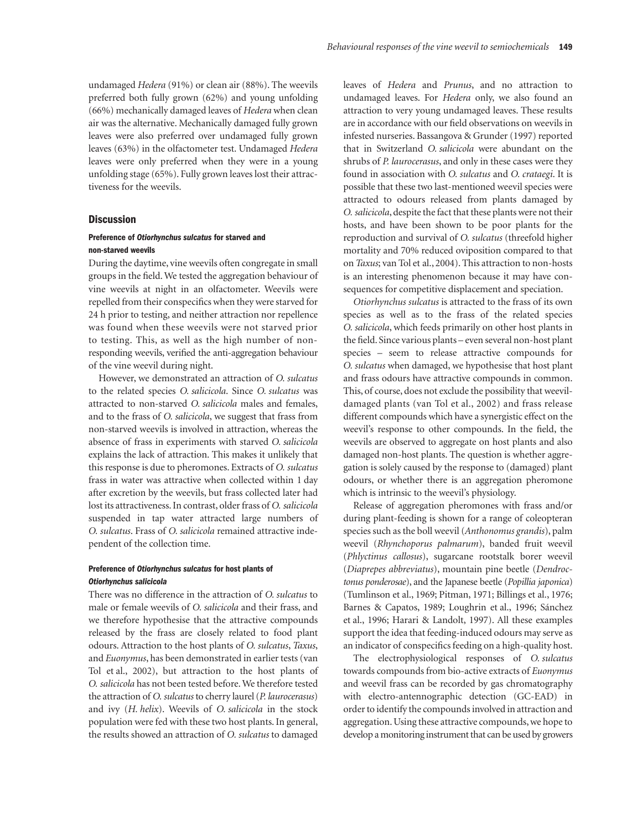undamaged *Hedera* (91%) or clean air (88%). The weevils preferred both fully grown (62%) and young unfolding (66%) mechanically damaged leaves of *Hedera* when clean air was the alternative. Mechanically damaged fully grown leaves were also preferred over undamaged fully grown leaves (63%) in the olfactometer test. Undamaged *Hedera* leaves were only preferred when they were in a young unfolding stage (65%). Fully grown leaves lost their attractiveness for the weevils.

#### **Discussion**

#### Preference of *Otiorhynchus sulcatus* for starved and non-starved weevils

During the daytime, vine weevils often congregate in small groups in the field. We tested the aggregation behaviour of vine weevils at night in an olfactometer. Weevils were repelled from their conspecifics when they were starved for 24 h prior to testing, and neither attraction nor repellence was found when these weevils were not starved prior to testing. This, as well as the high number of nonresponding weevils, verified the anti-aggregation behaviour of the vine weevil during night.

However, we demonstrated an attraction of *O. sulcatus* to the related species *O. salicicola*. Since *O. sulcatus* was attracted to non-starved *O. salicicola* males and females, and to the frass of *O. salicicola*, we suggest that frass from non-starved weevils is involved in attraction, whereas the absence of frass in experiments with starved *O. salicicola* explains the lack of attraction. This makes it unlikely that this response is due to pheromones. Extracts of *O. sulcatus* frass in water was attractive when collected within 1 day after excretion by the weevils, but frass collected later had lost its attractiveness. In contrast, older frass of *O. salicicola* suspended in tap water attracted large numbers of *O. sulcatus*. Frass of *O. salicicola* remained attractive independent of the collection time.

#### Preference of *Otiorhynchus sulcatus* for host plants of *Otiorhynchus salicicola*

There was no difference in the attraction of *O. sulcatus* to male or female weevils of *O. salicicola* and their frass, and we therefore hypothesise that the attractive compounds released by the frass are closely related to food plant odours. Attraction to the host plants of *O. sulcatus*, *Taxus*, and *Euonymus*, has been demonstrated in earlier tests (van Tol et al., 2002), but attraction to the host plants of *O. salicicola* has not been tested before. We therefore tested the attraction of *O. sulcatus* to cherry laurel (*P. laurocerasus*) and ivy (*H. helix*). Weevils of *O. salicicola* in the stock population were fed with these two host plants. In general, the results showed an attraction of *O. sulcatus* to damaged

leaves of *Hedera* and *Prunus*, and no attraction to undamaged leaves. For *Hedera* only, we also found an attraction to very young undamaged leaves. These results are in accordance with our field observations on weevils in infested nurseries. Bassangova & Grunder (1997) reported that in Switzerland *O. salicicola* were abundant on the shrubs of *P. laurocerasus*, and only in these cases were they found in association with *O. sulcatus* and *O. crataegi*. It is possible that these two last-mentioned weevil species were attracted to odours released from plants damaged by *O. salicicola*, despite the fact that these plants were not their hosts, and have been shown to be poor plants for the reproduction and survival of *O. sulcatus* (threefold higher mortality and 70% reduced oviposition compared to that on *Taxus*; van Tol et al., 2004). This attraction to non-hosts is an interesting phenomenon because it may have consequences for competitive displacement and speciation.

*Otiorhynchus sulcatus* is attracted to the frass of its own species as well as to the frass of the related species *O. salicicola*, which feeds primarily on other host plants in the field. Since various plants – even several non-host plant species – seem to release attractive compounds for *O. sulcatus* when damaged, we hypothesise that host plant and frass odours have attractive compounds in common. This, of course, does not exclude the possibility that weevildamaged plants (van Tol et al., 2002) and frass release different compounds which have a synergistic effect on the weevil's response to other compounds. In the field, the weevils are observed to aggregate on host plants and also damaged non-host plants. The question is whether aggregation is solely caused by the response to (damaged) plant odours, or whether there is an aggregation pheromone which is intrinsic to the weevil's physiology.

Release of aggregation pheromones with frass and/or during plant-feeding is shown for a range of coleopteran species such as the boll weevil (*Anthonomus grandis*), palm weevil (*Rhynchoporus palmarum*), banded fruit weevil (*Phlyctinus callosus*), sugarcane rootstalk borer weevil (*Diaprepes abbreviatus*), mountain pine beetle (*Dendroctonus ponderosae*), and the Japanese beetle (*Popillia japonica*) (Tumlinson et al., 1969; Pitman, 1971; Billings et al., 1976; Barnes & Capatos, 1989; Loughrin et al., 1996; Sánchez et al., 1996; Harari & Landolt, 1997). All these examples support the idea that feeding-induced odours may serve as an indicator of conspecifics feeding on a high-quality host.

The electrophysiological responses of *O. sulcatus* towards compounds from bio-active extracts of *Euonymus* and weevil frass can be recorded by gas chromatography with electro-antennographic detection (GC-EAD) in order to identify the compounds involved in attraction and aggregation. Using these attractive compounds, we hope to develop a monitoring instrument that can be used by growers